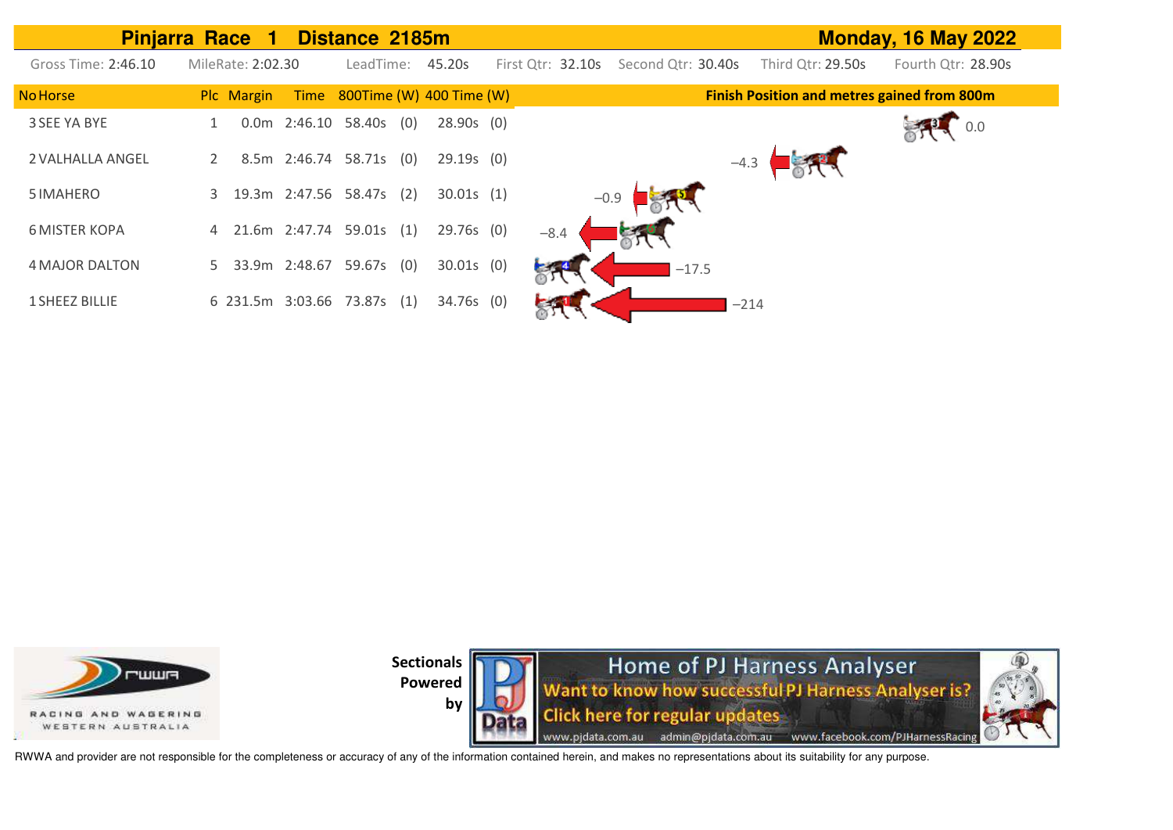|                       | <b>Pinjarra Race</b><br>-1    | Distance 2185m                          |                                         | <b>Monday, 16 May 2022</b>                         |
|-----------------------|-------------------------------|-----------------------------------------|-----------------------------------------|----------------------------------------------------|
| Gross Time: 2:46.10   | MileRate: 2:02.30             | LeadTime:<br>45.20s                     | First Qtr: 32.10s<br>Second Qtr: 30.40s | Third Qtr: 29.50s<br>Fourth Qtr: 28.90s            |
| <b>No Horse</b>       | Plc Margin<br>Time            | 800Time (W) 400 Time (W)                |                                         | <b>Finish Position and metres gained from 800m</b> |
| 3 SEE YA BYE          | 0.0 <sub>m</sub>              | $2:46.10$ 58.40s (0)<br>$28.90s$ (0)    |                                         | 0.0                                                |
| 2 VALHALLA ANGEL      |                               | 8.5m 2:46.74 58.71s (0)<br>$29.19s$ (0) |                                         |                                                    |
| 5 IMAHERO             | 19.3m 2:47.56 58.47s (2)<br>3 | 30.01s(1)                               | $-0.9$                                  |                                                    |
| <b>6 MISTER KOPA</b>  | 4 21.6m 2:47.74 59.01s (1)    | 29.76s (0)                              | $-8.4$                                  |                                                    |
| <b>4 MAJOR DALTON</b> | 33.9m 2:48.67<br>5            | 59.67s (0)<br>$30.01s$ (0)              | $-17.5$                                 |                                                    |
| <b>1 SHEEZ BILLIE</b> | 6 231.5m 3:03.66 73.87s (1)   | 34.76s (0)                              |                                         | $-214$                                             |





RWWA and provider are not responsible for the completeness or accuracy of any of the information contained herein, and makes no representations about its suitability for any purpose.

by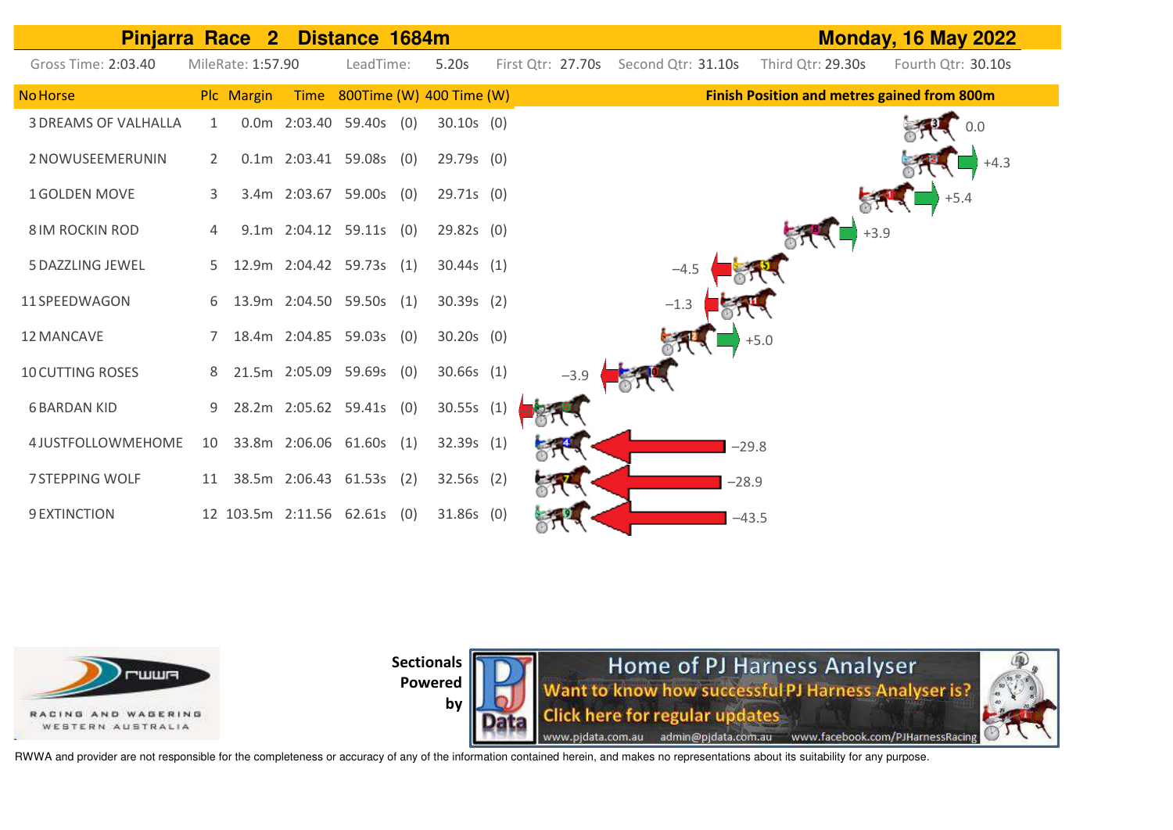



**by** 

Home of PJ Harness Analyser Want to know how successful PJ Harness Analyser is? **Click here for regular updates** www.pjdata.com.au admin@pjdata.com.au www.facebook.com/PJHarnessRacing

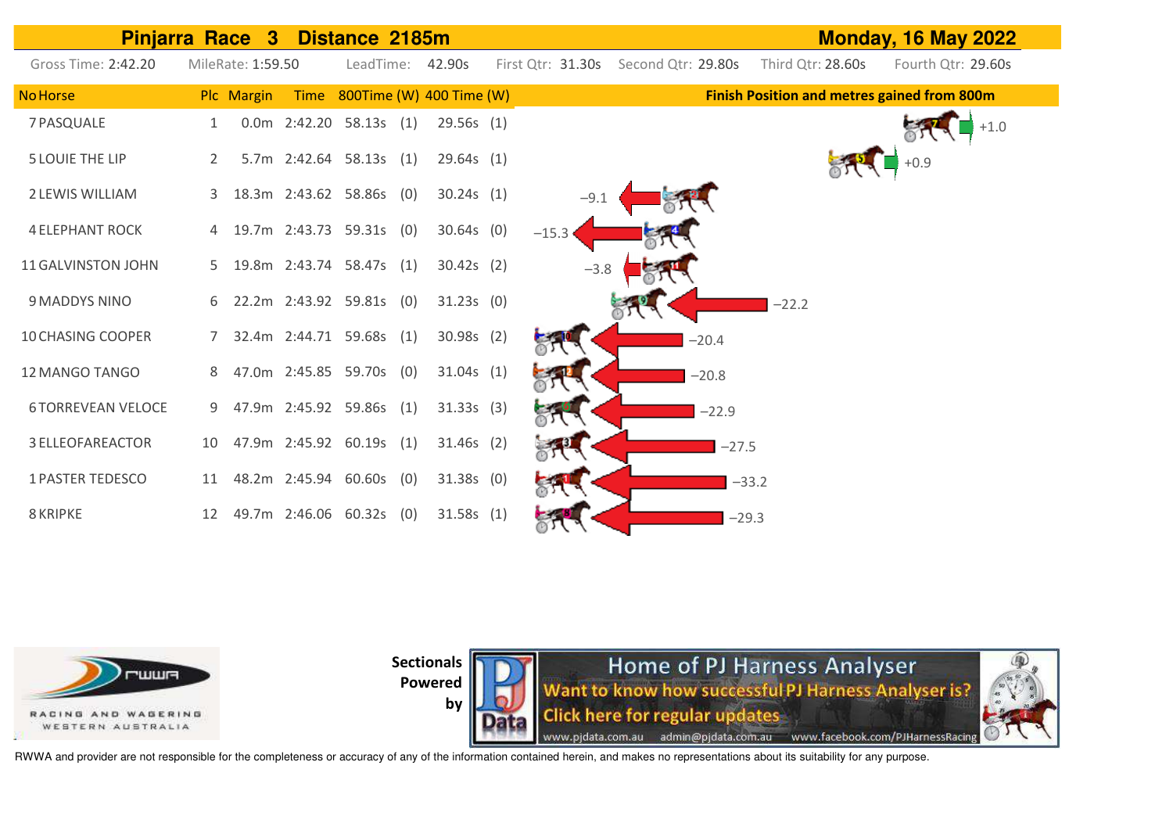| <b>Pinjarra Race</b>     |    | $\mathbf{3}$      |                           | Distance 2185m |                               |                   |                    |         |                   | <b>Monday, 16 May 2022</b>                         |
|--------------------------|----|-------------------|---------------------------|----------------|-------------------------------|-------------------|--------------------|---------|-------------------|----------------------------------------------------|
| Gross Time: 2:42.20      |    | MileRate: 1:59.50 |                           |                | LeadTime: 42.90s              | First Qtr: 31.30s | Second Qtr: 29.80s |         | Third Qtr: 28.60s | Fourth Qtr: 29.60s                                 |
| <b>No Horse</b>          |    | Plc Margin        |                           |                | Time 800Time (W) 400 Time (W) |                   |                    |         |                   | <b>Finish Position and metres gained from 800m</b> |
| 7 PASQUALE               |    |                   | $0.0m$ 2:42.20 58.13s (1) |                | 29.56s(1)                     |                   |                    |         |                   | $+1.0$                                             |
| <b>5 LOUIE THE LIP</b>   | 2  |                   | 5.7m 2:42.64 58.13s (1)   |                | 29.64s(1)                     |                   |                    |         |                   | $+0.9$                                             |
| 2 LEWIS WILLIAM          | 3  |                   | 18.3m 2:43.62 58.86s (0)  |                | 30.24s(1)                     |                   |                    |         |                   |                                                    |
| <b>4 ELEPHANT ROCK</b>   |    |                   | 19.7m 2:43.73 59.31s (0)  |                | $30.64s$ (0)                  | $-15.3$           |                    |         |                   |                                                    |
| 11 GALVINSTON JOHN       | 5  |                   | 19.8m 2:43.74 58.47s (1)  |                | $30.42s$ (2)                  | $-3.8$            |                    |         |                   |                                                    |
| 9 MADDYS NINO            | 6  |                   | 22.2m 2:43.92 59.81s (0)  |                | 31.23s(0)                     |                   |                    |         | $-22.2$           |                                                    |
| <b>10 CHASING COOPER</b> | 7  |                   | 32.4m 2:44.71 59.68s (1)  |                | $30.98s$ (2)                  |                   |                    | $-20.4$ |                   |                                                    |
| 12 MANGO TANGO           | 8  |                   | 47.0m 2:45.85 59.70s (0)  |                | 31.04s(1)                     |                   |                    | $-20.8$ |                   |                                                    |
| <b>6TORREVEAN VELOCE</b> | 9  |                   | 47.9m 2:45.92 59.86s (1)  |                | 31.33s(3)                     |                   |                    | $-22.9$ |                   |                                                    |
| <b>3 ELLEOFAREACTOR</b>  | 10 |                   | 47.9m 2:45.92 60.19s (1)  |                | $31.46s$ (2)                  |                   |                    | $-27.5$ |                   |                                                    |
| <b>1 PASTER TEDESCO</b>  | 11 |                   | 48.2m 2:45.94 60.60s (0)  |                | $31.38s$ (0)                  |                   |                    | $-33.2$ |                   |                                                    |
| 8 KRIPKE                 | 12 |                   | 49.7m 2:46.06 60.32s (0)  |                | 31.58s(1)                     |                   |                    | $-29.3$ |                   |                                                    |



**Sectionals** 

**Powered by** 

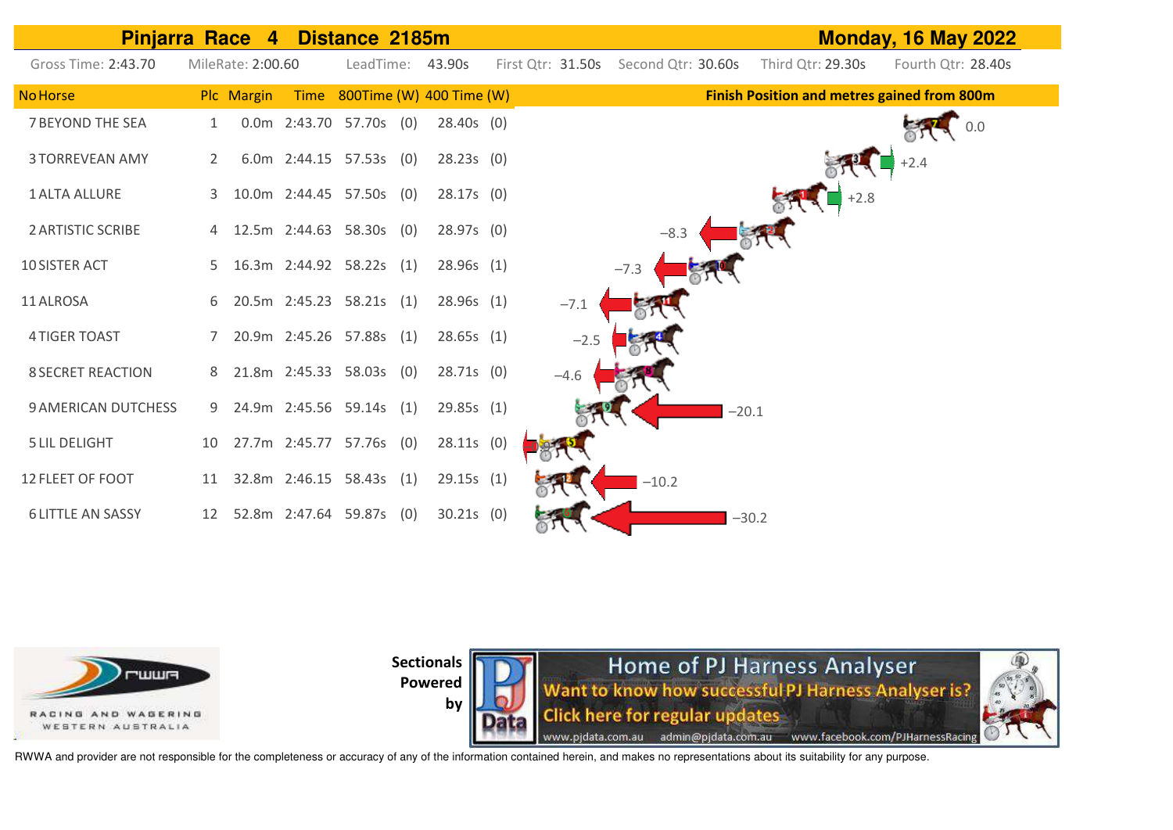



**Sectionals** 



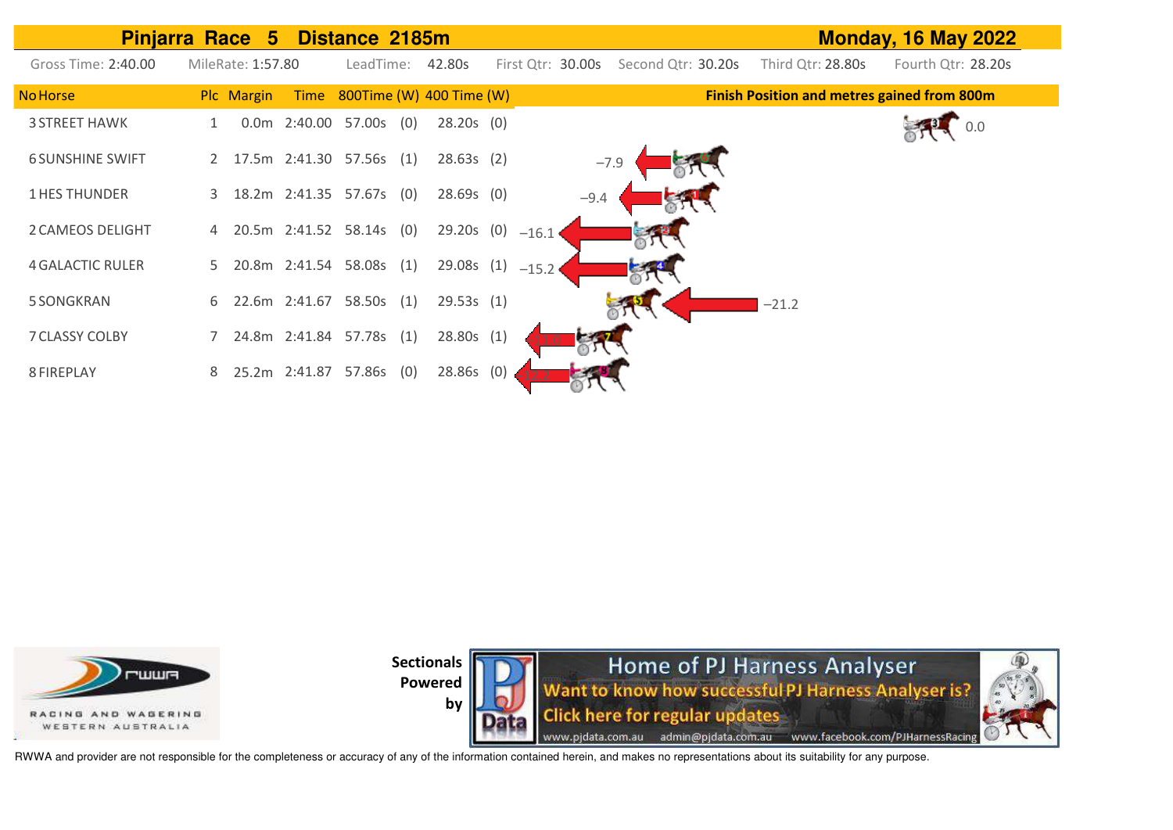|                         | <b>Pinjarra Race</b><br>$\sqrt{5}$      | Distance 2185m                           |                                         | <b>Monday, 16 May 2022</b>                         |
|-------------------------|-----------------------------------------|------------------------------------------|-----------------------------------------|----------------------------------------------------|
| Gross Time: 2:40.00     | MileRate: 1:57.80                       | LeadTime:<br>42.80s                      | First Qtr: 30.00s<br>Second Qtr: 30.20s | Third Qtr: 28.80s<br>Fourth Qtr: 28.20s            |
| <b>No Horse</b>         | Plc Margin                              | Time 800Time (W) 400 Time (W)            |                                         | <b>Finish Position and metres gained from 800m</b> |
| <b>3 STREET HAWK</b>    | $0.0m$ 2:40.00                          | 57.00s<br>$28.20s$ (0)<br>(0)            |                                         |                                                    |
| <b>6 SUNSHINE SWIFT</b> | 17.5m 2:41.30 57.56s (1)<br>$2^{\circ}$ | 28.63s(2)                                | $-7.9$                                  |                                                    |
| <b>1 HES THUNDER</b>    | 3                                       | 18.2m 2:41.35 57.67s (0)<br>$28.69s$ (0) | $-9.4$                                  |                                                    |
| 2 CAMEOS DELIGHT        | 20.5m 2:41.52 58.14s<br>4               | 29.20s (0)<br>(0)                        | $-16.1$                                 |                                                    |
| <b>4 GALACTIC RULER</b> | 20.8m 2:41.54 58.08s<br>5.              | 29.08s(1)<br>(1)                         | $-15.2$                                 |                                                    |
| 5 SONGKRAN              | 22.6m 2:41.67<br>6.                     | 58.50s<br>29.53s(1)<br>(1)               |                                         | $-21.2$                                            |
| 7 CLASSY COLBY          | 24.8m 2:41.84 57.78s<br>$7^{\circ}$     | 28.80s(1)<br>(1)                         |                                         |                                                    |
| 8 FIREPLAY              | 25.2m 2:41.87<br>8                      | 28.86s (0)<br>(0)<br>57.86s              |                                         |                                                    |



**by** 

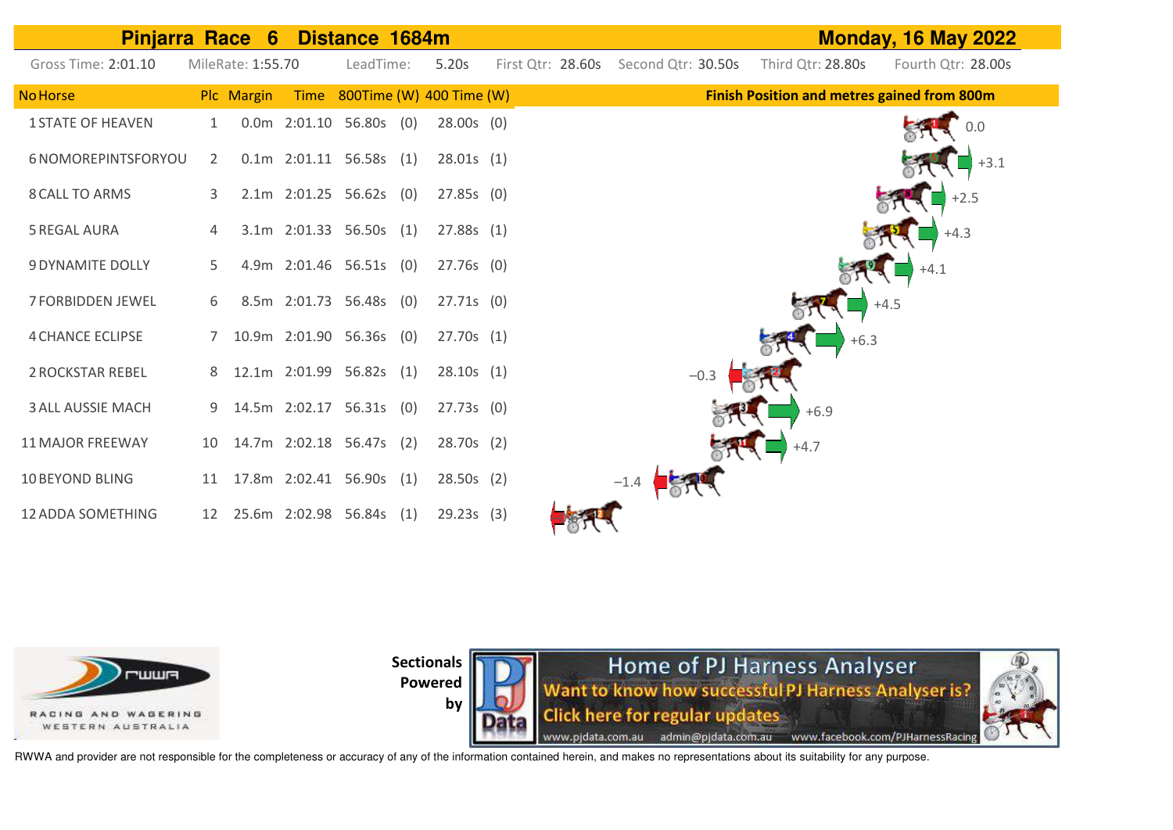| <b>Pinjarra Race 6</b>   |    | Distance 1684m    |                           |           | <b>Monday, 16 May 2022</b>    |                                      |        |                   |                                                    |
|--------------------------|----|-------------------|---------------------------|-----------|-------------------------------|--------------------------------------|--------|-------------------|----------------------------------------------------|
| Gross Time: 2:01.10      |    | MileRate: 1:55.70 |                           | LeadTime: | 5.20s                         | First Qtr: 28.60s Second Qtr: 30.50s |        | Third Qtr: 28.80s | Fourth Qtr: 28.00s                                 |
| <b>No Horse</b>          |    | Plc Margin        |                           |           | Time 800Time (W) 400 Time (W) |                                      |        |                   | <b>Finish Position and metres gained from 800m</b> |
| <b>1 STATE OF HEAVEN</b> | 1  |                   | $0.0m$ 2:01.10 56.80s (0) |           | $28.00s$ (0)                  |                                      |        |                   | 0.0                                                |
| 6 NOMOREPINTSFORYOU      | 2  |                   | $0.1m$ 2:01.11 56.58s (1) |           | 28.01s(1)                     |                                      |        |                   | $+3.1$                                             |
| 8 CALL TO ARMS           | 3  |                   | 2.1m 2:01.25 56.62s (0)   |           | 27.85s(0)                     |                                      |        |                   | $+2.5$                                             |
| <b>5 REGAL AURA</b>      | 4  |                   | 3.1m 2:01.33 56.50s (1)   |           | 27.88s(1)                     |                                      |        |                   | $+4.3$                                             |
| <b>9 DYNAMITE DOLLY</b>  | 5. |                   | 4.9m 2:01.46 56.51s (0)   |           | 27.76s (0)                    |                                      |        |                   | $+4.1$                                             |
| <b>7 FORBIDDEN JEWEL</b> | 6  |                   | 8.5m 2:01.73 56.48s (0)   |           | 27.71s(0)                     |                                      |        |                   | $+4.5$                                             |
| <b>4 CHANCE ECLIPSE</b>  |    |                   | 10.9m 2:01.90 56.36s (0)  |           | 27.70s(1)                     |                                      |        | $+6.3$            |                                                    |
| <b>2 ROCKSTAR REBEL</b>  | 8  |                   | 12.1m 2:01.99 56.82s (1)  |           | 28.10s(1)                     |                                      | $-0.3$ |                   |                                                    |
| <b>3 ALL AUSSIE MACH</b> | 9  |                   | 14.5m 2:02.17 56.31s (0)  |           | 27.73s(0)                     |                                      |        | $+6.9$            |                                                    |
| <b>11 MAJOR FREEWAY</b>  | 10 |                   | 14.7m 2:02.18 56.47s (2)  |           | 28.70s (2)                    |                                      |        | $+4.7$            |                                                    |
| <b>10 BEYOND BLING</b>   | 11 |                   | 17.8m 2:02.41 56.90s (1)  |           | 28.50s(2)                     |                                      |        |                   |                                                    |
| <b>12 ADDA SOMETHING</b> | 12 |                   | 25.6m 2:02.98 56.84s (1)  |           | 29.23s(3)                     |                                      |        |                   |                                                    |



**by** 

**Home of PJ Harness Analyser**<br>Want to know how successful PJ Harness Analyser is? **Click here for regular updates** www.pjdata.com.au admin@pjdata.com.au www.facebook.com/PJHarnessRacing

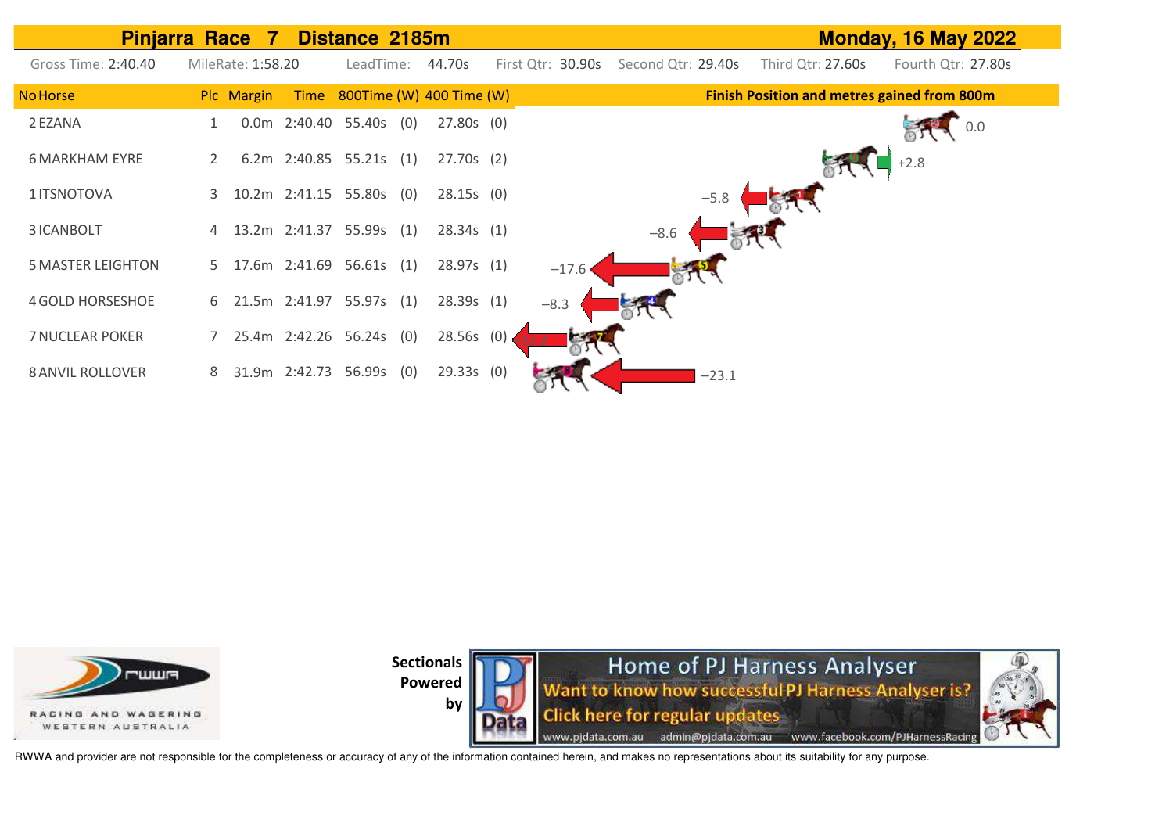







RWWA and provider are not responsible for the completeness or accuracy of any of the information contained herein, and makes no representations about its suitability for any purpose.

**by**